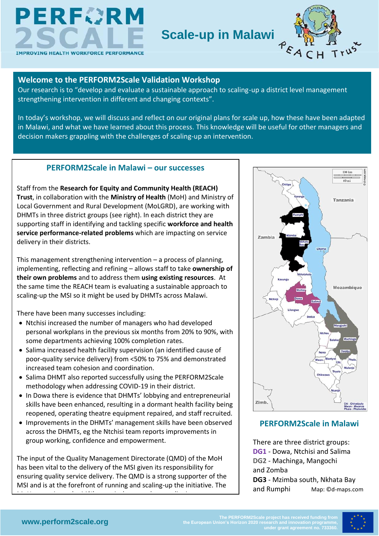



#### **Welcome to the PERFORM2Scale Validation Workshop**

Our research is to "develop and evaluate a sustainable approach to scaling-up a district level management strengthening intervention in different and changing contexts".

In today's workshop, we will discuss and reflect on our original plans for scale up, how these have been adapted in Malawi, and what we have learned about this process. This knowledge will be useful for other managers and decision makers grappling with the challenges of scaling-up an intervention.

#### **PERFORM2Scale in Malawi – our successes**

Staff from the **Research for Equity and Community Health (REACH) Trust**, in collaboration with the **Ministry of Health** (MoH) and Ministry of Local Government and Rural Development (MoLGRD), are working with DHMTs in three district groups (see right). In each district they are supporting staff in identifying and tackling specific **workforce and health service performance-related problems** which are impacting on service delivery in their districts.

This management strengthening intervention – a process of planning, implementing, reflecting and refining – allows staff to take **ownership of their own problems** and to address them **using existing resources**. At the same time the REACH team is evaluating a sustainable approach to scaling-up the MSI so it might be used by DHMTs across Malawi.

There have been many successes including:

- Ntchisi increased the number of managers who had developed personal workplans in the previous six months from 20% to 90%, with some departments achieving 100% completion rates.
- Salima increased health facility supervision (an identified cause of poor-quality service delivery) from <50% to 75% and demonstrated increased team cohesion and coordination.
- Salima DHMT also reported successfully using the PERFORM2Scale methodology when addressing COVID-19 in their district.
- In Dowa there is evidence that DHMTs' lobbying and entrepreneurial skills have been enhanced, resulting in a dormant health facility being reopened, operating theatre equipment repaired, and staff recruited.
- Improvements in the DHMTs' management skills have been observed across the DHMTs, eg the Ntchisi team reports improvements in group working, confidence and empowerment.

The input of the Quality Management Directorate (QMD) of the MoH has been vital to the delivery of the MSI given its responsibility for ensuring quality service delivery. The QMD is a strong supporter of the MSI and is at the forefront of running and scaling-up the initiative. The

Moh appreciates the MSI's probability in the MSI's probability in the MSI's probability in the MSI's probabili<br>The MSI's probability in provided the MSI's probability in the MSI's probability in the MSI's probability in t



## **PERFORM2Scale in Malawi**

There are three district groups: **DG1** - Dowa, Ntchisi and Salima **DG2** - Machinga, Mangochi and Zomba **DG3** - Mzimba south, Nkhata Bay and Rumphi Map: ©d-maps.com

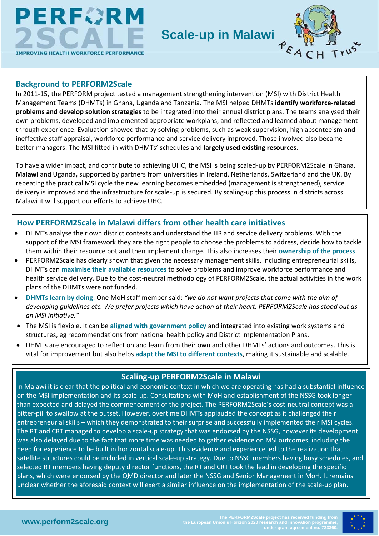

## **Scale-up in Malawi**



#### **Background to PERFORM2Scale**

In 2011-15, the PERFORM project tested a management strengthening intervention (MSI) with District Health Management Teams (DHMTs) in Ghana, Uganda and Tanzania. The MSI helped DHMTs **identify workforce-related problems and develop solution strategies** to be integrated into their annual district plans. The teams analysed their own problems, developed and implemented appropriate workplans, and reflected and learned about management through experience. Evaluation showed that by solving problems, such as weak supervision, high absenteeism and ineffective staff appraisal, workforce performance and service delivery improved. Those involved also became better managers. The MSI fitted in with DHMTs' schedules and **largely used existing resources**.

To have a wider impact, and contribute to achieving UHC, the MSI is being scaled-up by PERFORM2Scale in Ghana, **Malawi** and Uganda**,** supported by partners from universities in Ireland, Netherlands, Switzerland and the UK. By repeating the practical MSI cycle the new learning becomes embedded (management is strengthened), service delivery is improved and the infrastructure for scale-up is secured. By scaling-up this process in districts across Malawi it will support our efforts to achieve UHC.

## **How PERFORM2Scale in Malawi differs from other health care initiatives**

- DHMTs analyse their own district contexts and understand the HR and service delivery problems. With the support of the MSI framework they are the right people to choose the problems to address, decide how to tackle them within their resource pot and then implement change. This also increases their **ownership of the process**.
- PERFORM2Scale has clearly shown that given the necessary management skills, including entrepreneurial skills, DHMTs can **maximise their available resources** to solve problems and improve workforce performance and health service delivery. Due to the cost-neutral methodology of PERFORM2Scale, the actual activities in the work plans of the DHMTs were not funded.
- **DHMTs learn by doing**. One MoH staff member said: *"we do not want projects that come with the aim of developing guidelines etc. We prefer projects which have action at their heart. PERFORM2Scale has stood out as an MSI initiative."*
- The MSI is flexible. It can be **aligned with government policy** and integrated into existing work systems and structures, eg recommendations from national health policy and District Implementation Plans.
- DHMTs are encouraged to reflect on and learn from their own and other DHMTs' actions and outcomes. This is vital for improvement but also helps **adapt the MSI to different contexts**, making it sustainable and scalable.

## **Scaling-up PERFORM2Scale in Malawi**

In Malawi it is clear that the political and economic context in which we are operating has had a substantial influence on the MSI implementation and its scale-up. Consultations with MoH and establishment of the NSSG took longer than expected and delayed the commencement of the project. The PERFORM2Scale's cost-neutral concept was a bitter-pill to swallow at the outset. However, overtime DHMTs applauded the concept as it challenged their entrepreneurial skills – which they demonstrated to their surprise and successfully implemented their MSI cycles. The RT and CRT managed to develop a scale-up strategy that was endorsed by the NSSG, however its development was also delayed due to the fact that more time was needed to gather evidence on MSI outcomes, including the need for experience to be built in horizontal scale-up. This evidence and experience led to the realization that satellite structures could be included in vertical scale-up strategy. Due to NSSG members having busy schedules, and selected RT members having deputy director functions, the RT and CRT took the lead in developing the specific plans, which were endorsed by the QMD director and later the NSSG and Senior Management in MoH. It remains unclear whether the aforesaid context will exert a similar influence on the implementation of the scale-up plan.

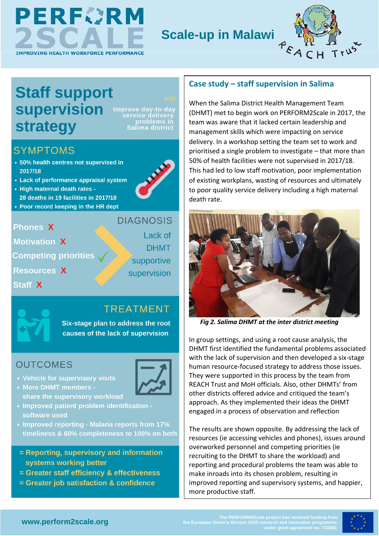

## **Scale-up in Malawi**



# **Staff support supervision strategy**

Improve day

## **SYMPTOMS**

- 50% health centres not supervised in 2017/18
- Lack of performance appraisal system
- High maternal death rates -28 deaths in 19 facilities in 2017/18
- Poor record keeping in the HR dept

## **Phones X**

**Motivation X Competing priorities Resources X** Staff X

**DIAGNOSIS** Lack of **DHMT** supportive supervision

## **TREATMENT**

Six-stage plan to address the root causes of the lack of supervision

## **OUTCOMES**

- 
- Vehicle for supervisory visits • More DHMT members share the supervisory workload
- Improved patient problem identification software used
- Improved reporting Malaria reports from 17% timeliness & 60% completeness to 100% on both
- = Reporting, supervisory and information systems working better
- = Greater staff efficiency & effectiveness
- = Greater job satisfaction & confidence

## **Case study – staff supervision in Salima**

When the Salima District Health Management Team (DHMT) met to begin work on PERFORM2Scale in 2017, the team was aware that it lacked certain leadership and management skills which were impacting on service delivery. In a workshop setting the team set to work and prioritised a single problem to investigate – that more than 50% of health facilities were not supervised in 2017/18. This had led to low staff motivation, poor implementation of existing workplans, wasting of resources and ultimately to poor quality service delivery including a high maternal death rate.



 *Fig 2. Salima DHMT at the inter district meeting*

In group settings, and using a root cause analysis, the DHMT first identified the fundamental problems associated with the lack of supervision and then developed a six-stage human resource-focused strategy to address those issues. They were supported in this process by the team from REACH Trust and MoH officials. Also, other DHMTs' from other districts offered advice and critiqued the team's approach. As they implemented their ideas the DHMT engaged in a process of observation and reflection

The results are shown opposite. By addressing the lack of resources (ie accessing vehicles and phones), issues around overworked personnel and competing priorities (ie recruiting to the DHMT to share the workload) and reporting and procedural problems the team was able to make inroads into its chosen problem, resulting in improved reporting and supervisory systems, and happier, more productive staff.

The PERFORM2Scale project has received funding from **WWW.perform2scale.org**<br>MWW.perform2scale.org and the European Union's Horizon 2020 research and innovation programme,